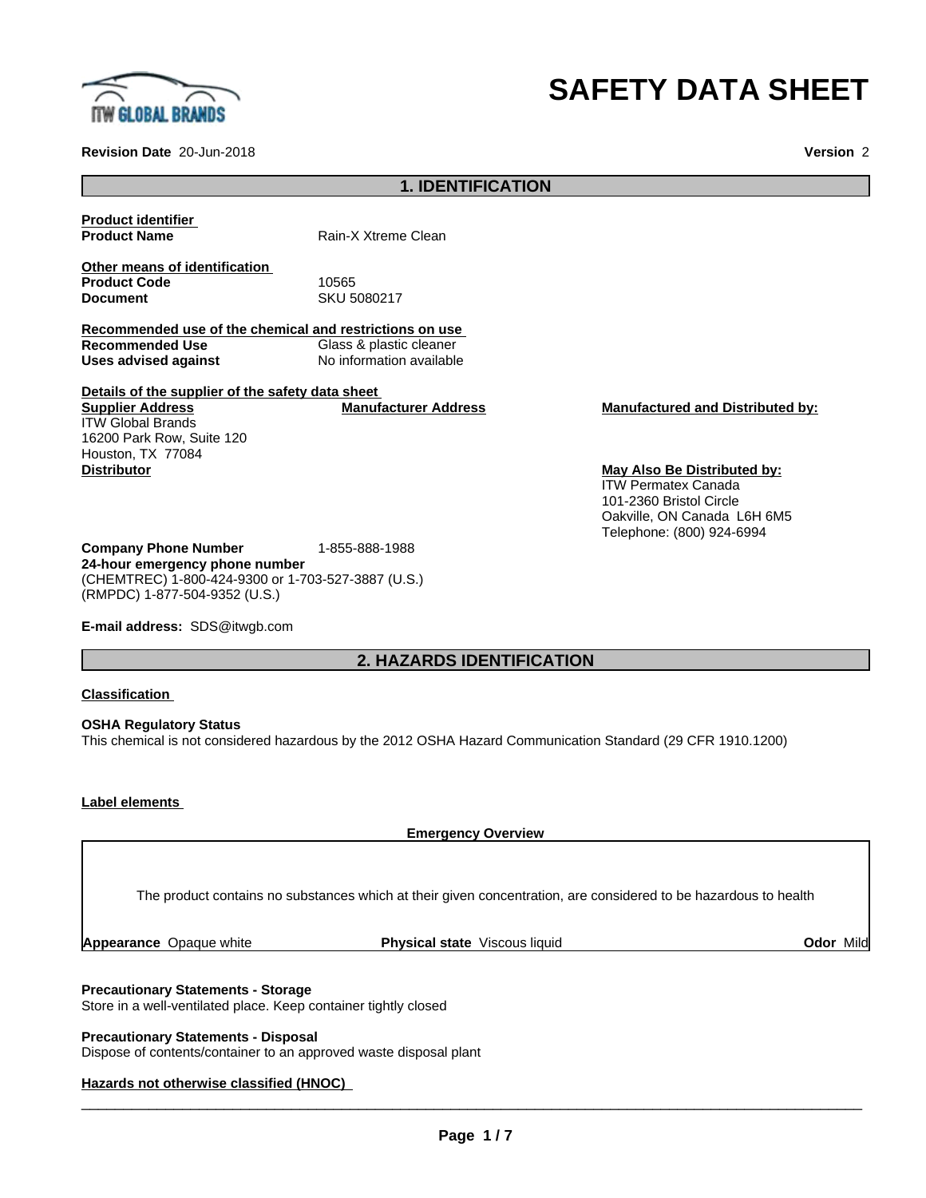

# **SAFETY DATA SHEET**

**Revision Date** 20-Jun-2018 **Version** 2

# **1. IDENTIFICATION**

**Product identifier**

**Product Name** Rain-X Xtreme Clean

**Other means of identification Product Code** 10565<br> **Document** 10565

**Document** SKU 5080217

**Recommended use of the chemical and restrictions on use Recommended Use** Glass & plastic cleaner<br> **Uses advised against** No information available **No information available** 

**Details of the supplier of the safety data sheet Supplier Address** ITW Global Brands 16200 Park Row, Suite 120 Houston, TX 77084 **Manufacturer Address Manufactured and Distributed by: Distributor May Also Be Distributed by:**

ITW Permatex Canada 101-2360 Bristol Circle Oakville, ON Canada L6H 6M5 Telephone: (800) 924-6994

**Company Phone Number** 1-855-888-1988 **24-hour emergency phone number** (CHEMTREC) 1-800-424-9300 or 1-703-527-3887 (U.S.) (RMPDC) 1-877-504-9352 (U.S.)

**E-mail address:** SDS@itwgb.com

# **2. HAZARDS IDENTIFICATION**

#### **Classification**

**OSHA Regulatory Status** This chemical is not considered hazardous by the 2012 OSHA Hazard Communication Standard (29 CFR 1910.1200)

#### **Label elements**

**Emergency Overview** The product contains no substances which at their given concentration, are considered to be hazardous to health

**Appearance** Opaque white **Physical state** Viscous liquid **Odor** Mild

## **Precautionary Statements - Storage**

Store in a well-ventilated place. Keep container tightly closed

**Precautionary Statements - Disposal** Dispose of contents/container to an approved waste disposal plant

## **Hazards not otherwise classified (HNOC)**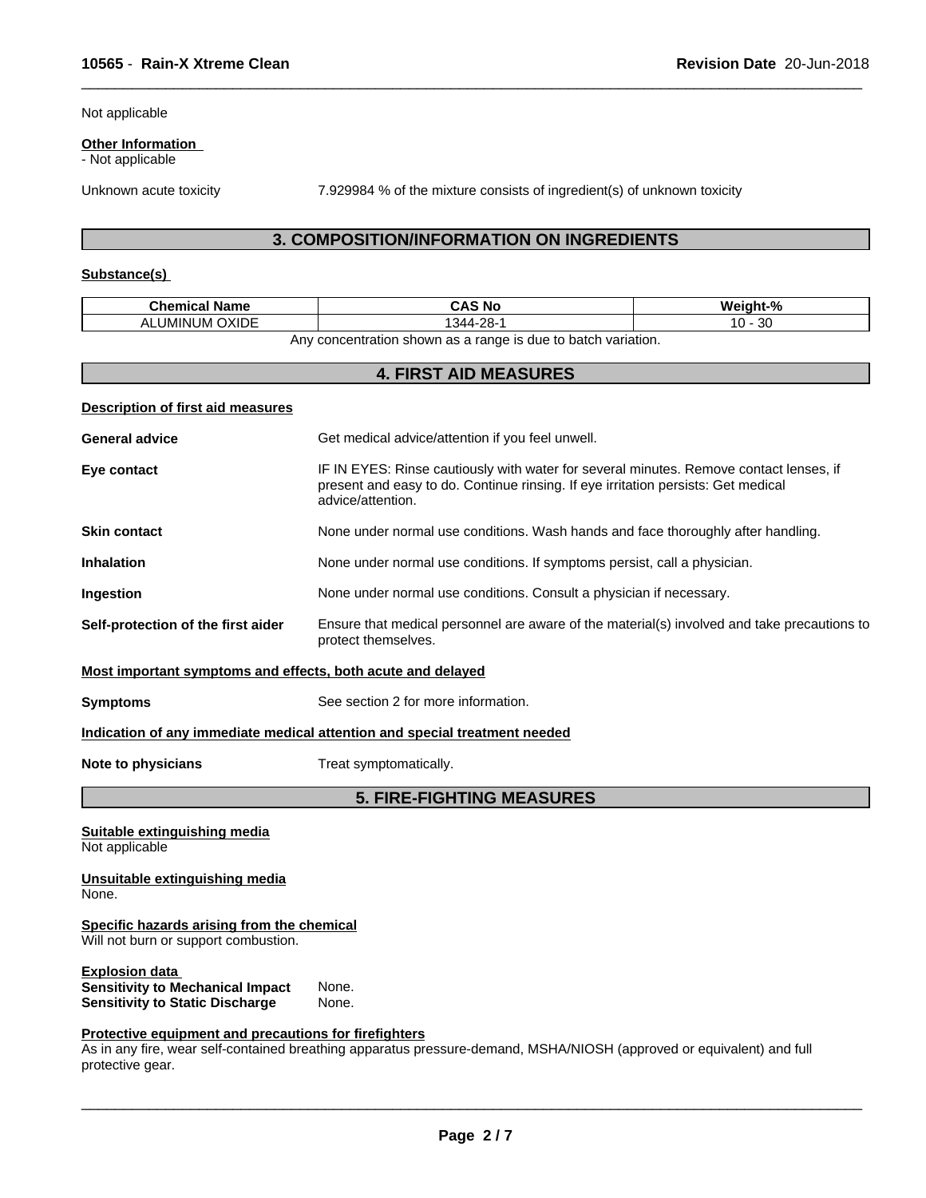Not applicable

#### **Other Information**

- Not applicable

Unknown acute toxicity 7.929984 % of the mixture consists of ingredient(s) of unknown toxicity

 $\overline{\phantom{a}}$  ,  $\overline{\phantom{a}}$  ,  $\overline{\phantom{a}}$  ,  $\overline{\phantom{a}}$  ,  $\overline{\phantom{a}}$  ,  $\overline{\phantom{a}}$  ,  $\overline{\phantom{a}}$  ,  $\overline{\phantom{a}}$  ,  $\overline{\phantom{a}}$  ,  $\overline{\phantom{a}}$  ,  $\overline{\phantom{a}}$  ,  $\overline{\phantom{a}}$  ,  $\overline{\phantom{a}}$  ,  $\overline{\phantom{a}}$  ,  $\overline{\phantom{a}}$  ,  $\overline{\phantom{a}}$ 

# **3. COMPOSITION/INFORMATION ON INGREDIENTS**

# **Substance(s)**

| <b>Chemical Name</b>                                                               | <b>CAS No</b>                                                                                                                                                                                    | Weight-%  |
|------------------------------------------------------------------------------------|--------------------------------------------------------------------------------------------------------------------------------------------------------------------------------------------------|-----------|
| <b>ALUMINUM OXIDE</b>                                                              | 1344-28-1                                                                                                                                                                                        | $10 - 30$ |
|                                                                                    | Any concentration shown as a range is due to batch variation.                                                                                                                                    |           |
|                                                                                    | <b>4. FIRST AID MEASURES</b>                                                                                                                                                                     |           |
| <b>Description of first aid measures</b>                                           |                                                                                                                                                                                                  |           |
| <b>General advice</b>                                                              | Get medical advice/attention if you feel unwell.                                                                                                                                                 |           |
| Eye contact                                                                        | IF IN EYES: Rinse cautiously with water for several minutes. Remove contact lenses, if<br>present and easy to do. Continue rinsing. If eye irritation persists: Get medical<br>advice/attention. |           |
| <b>Skin contact</b>                                                                | None under normal use conditions. Wash hands and face thoroughly after handling.                                                                                                                 |           |
| <b>Inhalation</b>                                                                  | None under normal use conditions. If symptoms persist, call a physician.                                                                                                                         |           |
| Ingestion                                                                          | None under normal use conditions. Consult a physician if necessary.                                                                                                                              |           |
| Self-protection of the first aider                                                 | Ensure that medical personnel are aware of the material(s) involved and take precautions to<br>protect themselves.                                                                               |           |
| Most important symptoms and effects, both acute and delayed                        |                                                                                                                                                                                                  |           |
| <b>Symptoms</b>                                                                    | See section 2 for more information.                                                                                                                                                              |           |
|                                                                                    | Indication of any immediate medical attention and special treatment needed                                                                                                                       |           |
| Note to physicians                                                                 | Treat symptomatically.                                                                                                                                                                           |           |
|                                                                                    | <b>5. FIRE-FIGHTING MEASURES</b>                                                                                                                                                                 |           |
| Suitable extinguishing media<br>Not applicable                                     |                                                                                                                                                                                                  |           |
| Unsuitable extinguishing media<br>None.                                            |                                                                                                                                                                                                  |           |
| Specific hazards arising from the chemical<br>Will not burn or support combustion. |                                                                                                                                                                                                  |           |
| <b>Explosion data</b>                                                              |                                                                                                                                                                                                  |           |

**Sensitivity to Mechanical Impact** None. **Sensitivity to Static Discharge** None.

#### **Protective equipment and precautions for firefighters**

As in any fire, wear self-contained breathing apparatus pressure-demand, MSHA/NIOSH (approved or equivalent) and full protective gear.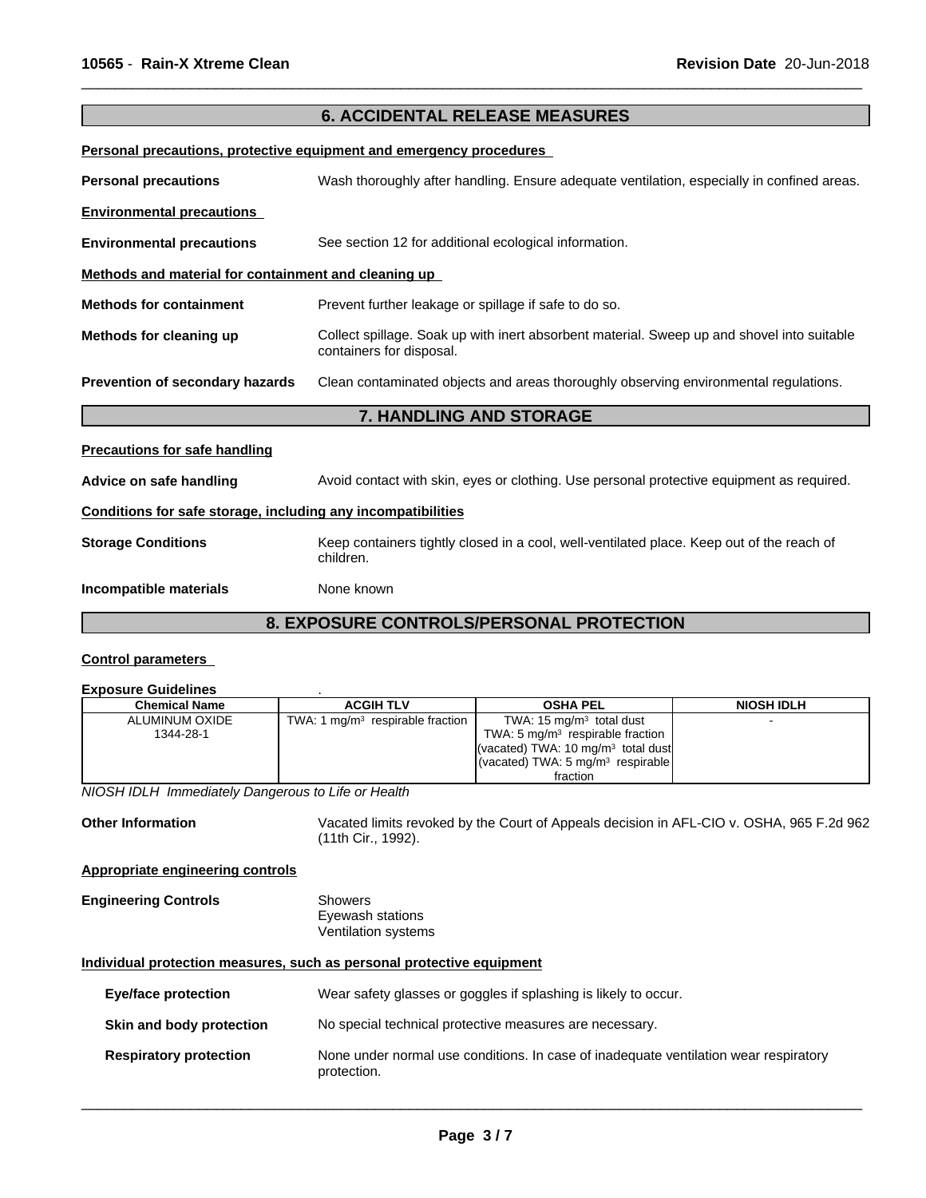|                                                              | <b>6. ACCIDENTAL RELEASE MEASURES</b>                                                                                  |
|--------------------------------------------------------------|------------------------------------------------------------------------------------------------------------------------|
|                                                              | Personal precautions, protective equipment and emergency procedures                                                    |
| <b>Personal precautions</b>                                  | Wash thoroughly after handling. Ensure adequate ventilation, especially in confined areas.                             |
| <b>Environmental precautions</b>                             |                                                                                                                        |
| <b>Environmental precautions</b>                             | See section 12 for additional ecological information.                                                                  |
| Methods and material for containment and cleaning up         |                                                                                                                        |
| <b>Methods for containment</b>                               | Prevent further leakage or spillage if safe to do so.                                                                  |
| Methods for cleaning up                                      | Collect spillage. Soak up with inert absorbent material. Sweep up and shovel into suitable<br>containers for disposal. |
| Prevention of secondary hazards                              | Clean contaminated objects and areas thoroughly observing environmental regulations.                                   |
|                                                              | <b>7. HANDLING AND STORAGE</b>                                                                                         |
| <b>Precautions for safe handling</b>                         |                                                                                                                        |
| Advice on safe handling                                      | Avoid contact with skin, eyes or clothing. Use personal protective equipment as required.                              |
| Conditions for safe storage, including any incompatibilities |                                                                                                                        |
| <b>Storage Conditions</b>                                    | Keep containers tightly closed in a cool, well-ventilated place. Keep out of the reach of<br>children.                 |
| Incompatible materials                                       | None known                                                                                                             |
|                                                              | 8. EXPOSURE CONTROLS/PERSONAL PROTECTION                                                                               |

 $\overline{\phantom{a}}$  ,  $\overline{\phantom{a}}$  ,  $\overline{\phantom{a}}$  ,  $\overline{\phantom{a}}$  ,  $\overline{\phantom{a}}$  ,  $\overline{\phantom{a}}$  ,  $\overline{\phantom{a}}$  ,  $\overline{\phantom{a}}$  ,  $\overline{\phantom{a}}$  ,  $\overline{\phantom{a}}$  ,  $\overline{\phantom{a}}$  ,  $\overline{\phantom{a}}$  ,  $\overline{\phantom{a}}$  ,  $\overline{\phantom{a}}$  ,  $\overline{\phantom{a}}$  ,  $\overline{\phantom{a}}$ 

# **Control parameters**

# **Exposure Guidelines** .

| Chemical Name  | <b>ACGIH TLV</b>                   | <b>OSHA PEL</b>                                         | <b>NIOSH IDLH</b> |
|----------------|------------------------------------|---------------------------------------------------------|-------------------|
| ALUMINUM OXIDE | TWA: 1 $mg/m3$ respirable fraction | TWA: $15 \text{ mg/m}^3$ total dust                     |                   |
| 1344-28-1      |                                    | TWA: 5 $mq/m3$ respirable fraction                      |                   |
|                |                                    | (vacated) TWA: 10 $mq/m3$ total dust                    |                   |
|                |                                    | $\sqrt{(vacated) TWA}$ : 5 mg/m <sup>3</sup> respirable |                   |
|                |                                    | fraction                                                |                   |

*NIOSH IDLH Immediately Dangerous to Life or Health*

Other Information **Vacated limits revoked by the Court of Appeals decision in AFL-CIO v. OSHA, 965 F.2d 962** (11th Cir., 1992).

#### **Appropriate engineering controls**

#### **Engineering Controls** Showers Eyewash stations Ventilation systems

#### **Individual protection measures, such as personal protective equipment**

| Eye/face protection           | Wear safety glasses or goggles if splashing is likely to occur.                                     |
|-------------------------------|-----------------------------------------------------------------------------------------------------|
| Skin and body protection      | No special technical protective measures are necessary.                                             |
| <b>Respiratory protection</b> | None under normal use conditions. In case of inadequate ventilation wear respiratory<br>protection. |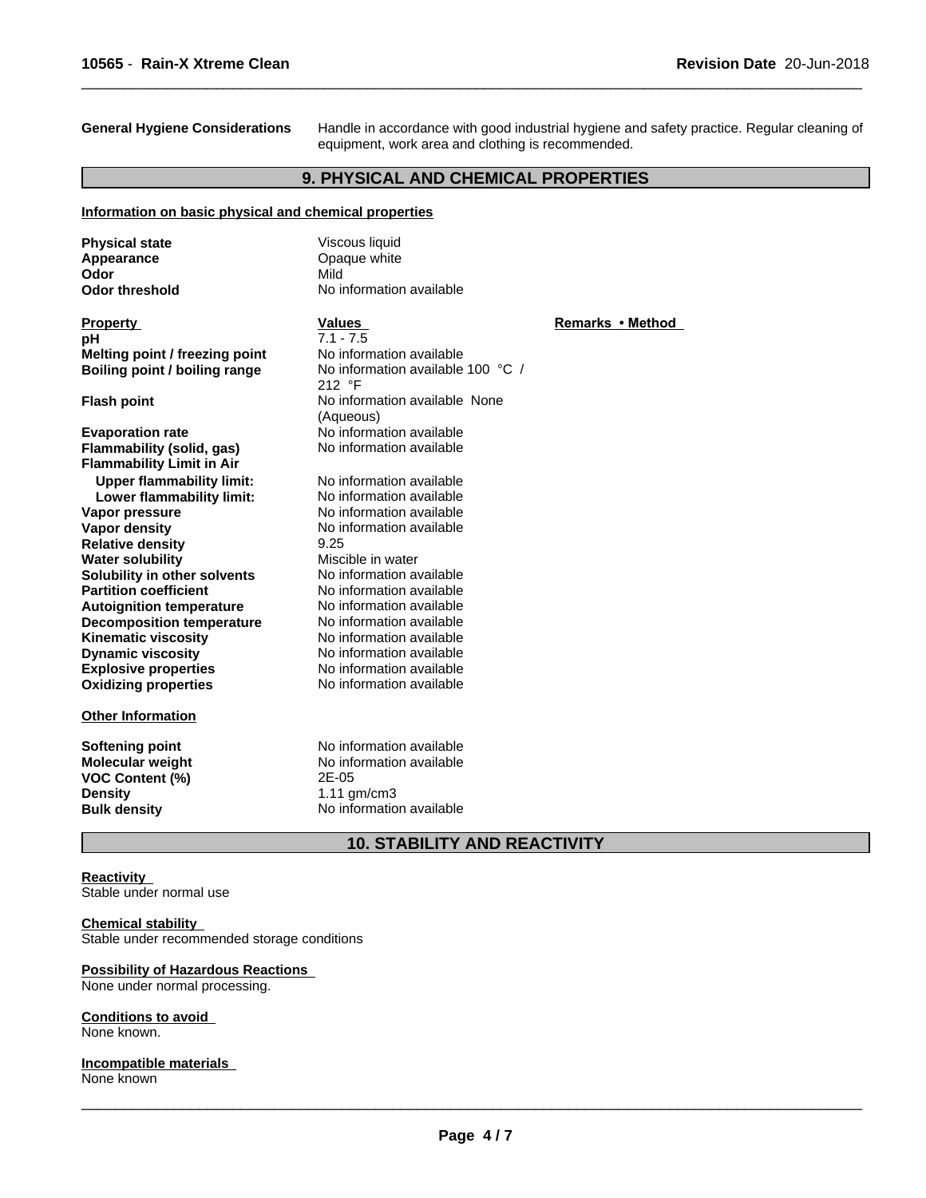**General Hygiene Considerations** Handle in accordance with good industrial hygiene and safety practice. Regular cleaning of equipment, work area and clothing is recommended.

 $\overline{\phantom{a}}$  ,  $\overline{\phantom{a}}$  ,  $\overline{\phantom{a}}$  ,  $\overline{\phantom{a}}$  ,  $\overline{\phantom{a}}$  ,  $\overline{\phantom{a}}$  ,  $\overline{\phantom{a}}$  ,  $\overline{\phantom{a}}$  ,  $\overline{\phantom{a}}$  ,  $\overline{\phantom{a}}$  ,  $\overline{\phantom{a}}$  ,  $\overline{\phantom{a}}$  ,  $\overline{\phantom{a}}$  ,  $\overline{\phantom{a}}$  ,  $\overline{\phantom{a}}$  ,  $\overline{\phantom{a}}$ 

# **9. PHYSICAL AND CHEMICAL PROPERTIES**

#### **Information on basic physical and chemical properties**

| <b>Physical state</b>                                         | Viscous liquid                    |                  |
|---------------------------------------------------------------|-----------------------------------|------------------|
| Appearance                                                    | Opaque white                      |                  |
| Odor                                                          | Mild                              |                  |
| <b>Odor threshold</b>                                         | No information available          |                  |
| <b>Property</b>                                               | <b>Values</b>                     | Remarks • Method |
| рH                                                            | $7.1 - 7.5$                       |                  |
| Melting point / freezing point                                | No information available          |                  |
| Boiling point / boiling range                                 | No information available 100 °C / |                  |
|                                                               | 212 °F                            |                  |
| <b>Flash point</b>                                            | No information available None     |                  |
|                                                               | (Aqueous)                         |                  |
| <b>Evaporation rate</b>                                       | No information available          |                  |
| Flammability (solid, gas)<br><b>Flammability Limit in Air</b> | No information available          |                  |
| <b>Upper flammability limit:</b>                              | No information available          |                  |
| Lower flammability limit:                                     | No information available          |                  |
| Vapor pressure                                                | No information available          |                  |
| Vapor density                                                 | No information available          |                  |
| <b>Relative density</b>                                       | 9.25                              |                  |
| <b>Water solubility</b>                                       | Miscible in water                 |                  |
| Solubility in other solvents                                  | No information available          |                  |
| <b>Partition coefficient</b>                                  | No information available          |                  |
| <b>Autoignition temperature</b>                               | No information available          |                  |
| <b>Decomposition temperature</b>                              | No information available          |                  |
| <b>Kinematic viscosity</b>                                    | No information available          |                  |
| <b>Dynamic viscosity</b>                                      | No information available          |                  |
| <b>Explosive properties</b>                                   | No information available          |                  |
| <b>Oxidizing properties</b>                                   | No information available          |                  |
| <b>Other Information</b>                                      |                                   |                  |
| <b>Softening point</b>                                        | No information available          |                  |
| <b>Molecular weight</b>                                       | No information available          |                  |
| VOC Content (%)                                               | 2E-05                             |                  |
| <b>Density</b>                                                | $1.11$ gm/cm3                     |                  |
| <b>Bulk density</b>                                           | No information available          |                  |

# **10. STABILITY AND REACTIVITY**

#### **Reactivity**

Stable under normal use

## **Chemical stability**

Stable under recommended storage conditions

#### **Possibility of Hazardous Reactions**

None under normal processing.

#### **Conditions to avoid**

None known.

#### **Incompatible materials** None known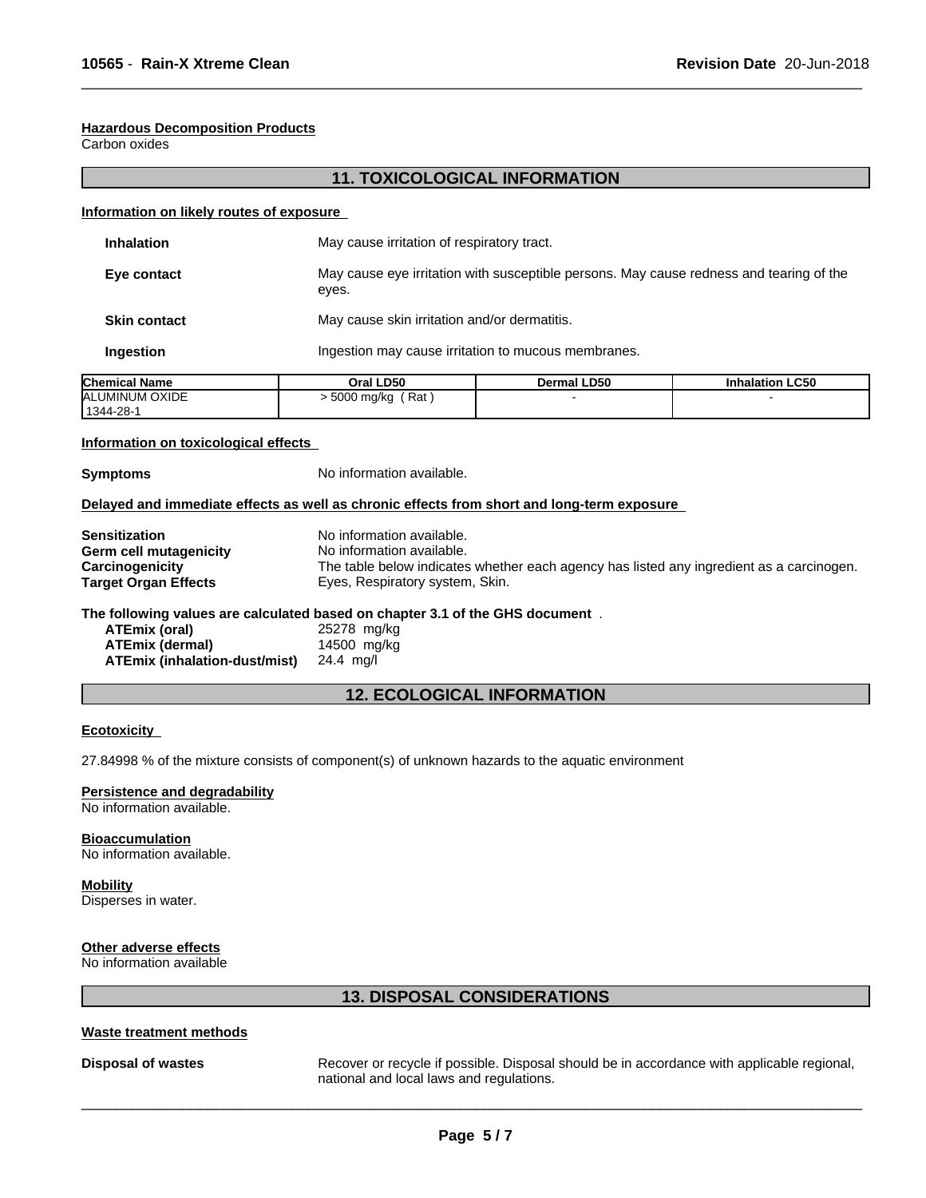#### **Hazardous Decomposition Products**

Carbon oxides

# **11. TOXICOLOGICAL INFORMATION**

 $\overline{\phantom{a}}$  ,  $\overline{\phantom{a}}$  ,  $\overline{\phantom{a}}$  ,  $\overline{\phantom{a}}$  ,  $\overline{\phantom{a}}$  ,  $\overline{\phantom{a}}$  ,  $\overline{\phantom{a}}$  ,  $\overline{\phantom{a}}$  ,  $\overline{\phantom{a}}$  ,  $\overline{\phantom{a}}$  ,  $\overline{\phantom{a}}$  ,  $\overline{\phantom{a}}$  ,  $\overline{\phantom{a}}$  ,  $\overline{\phantom{a}}$  ,  $\overline{\phantom{a}}$  ,  $\overline{\phantom{a}}$ 

#### **Information on likely routes of exposure**

| <b>Inhalation</b>   | May cause irritation of respiratory tract.                                                       |
|---------------------|--------------------------------------------------------------------------------------------------|
| Eye contact         | May cause eye irritation with susceptible persons. May cause redness and tearing of the<br>eyes. |
| <b>Skin contact</b> | May cause skin irritation and/or dermatitis.                                                     |
| Ingestion           | Ingestion may cause irritation to mucous membranes.                                              |
|                     |                                                                                                  |

| <b>Chemical Name</b> | <b>LD50</b><br>Oral | <b>Dermal LD50</b> | <b>Inhalation LC50</b> |
|----------------------|---------------------|--------------------|------------------------|
| ALUMINUM OXIDE       | Rat<br>5000 mg/kg   |                    |                        |
| 1344-28-             |                     |                    |                        |

#### **Information on toxicological effects**

**Symptoms** No information available.

#### **Delayed and immediate effects as well as chronic effects from short and long-term exposure**

| Sensitization          | No information available.                                                                |
|------------------------|------------------------------------------------------------------------------------------|
| Germ cell mutagenicity | No information available.                                                                |
| Carcinogenicity        | The table below indicates whether each agency has listed any ingredient as a carcinogen. |
| Target Organ Effects   | Eyes, Respiratory system, Skin.                                                          |
|                        |                                                                                          |

#### **The following values are calculated based on chapter 3.1 of the GHS document** .

| ATEmix (oral)                 | 25278 mg/kg |
|-------------------------------|-------------|
| ATEmix (dermal)               | 14500 mg/kg |
| ATEmix (inhalation-dust/mist) | 24.4 mg/l   |

# **12. ECOLOGICAL INFORMATION**

#### **Ecotoxicity**

27.84998 % of the mixture consists of component(s) of unknown hazards to the aquatic environment

#### **Persistence and degradability**

No information available.

#### **Bioaccumulation**

No information available.

#### **Mobility**

Disperses in water.

# **Other adverse effects**

No information available

# **13. DISPOSAL CONSIDERATIONS**

#### **Waste treatment methods**

**Disposal of wastes** Recover or recycle if possible. Disposal should be in accordance with applicable regional, national and local laws and regulations.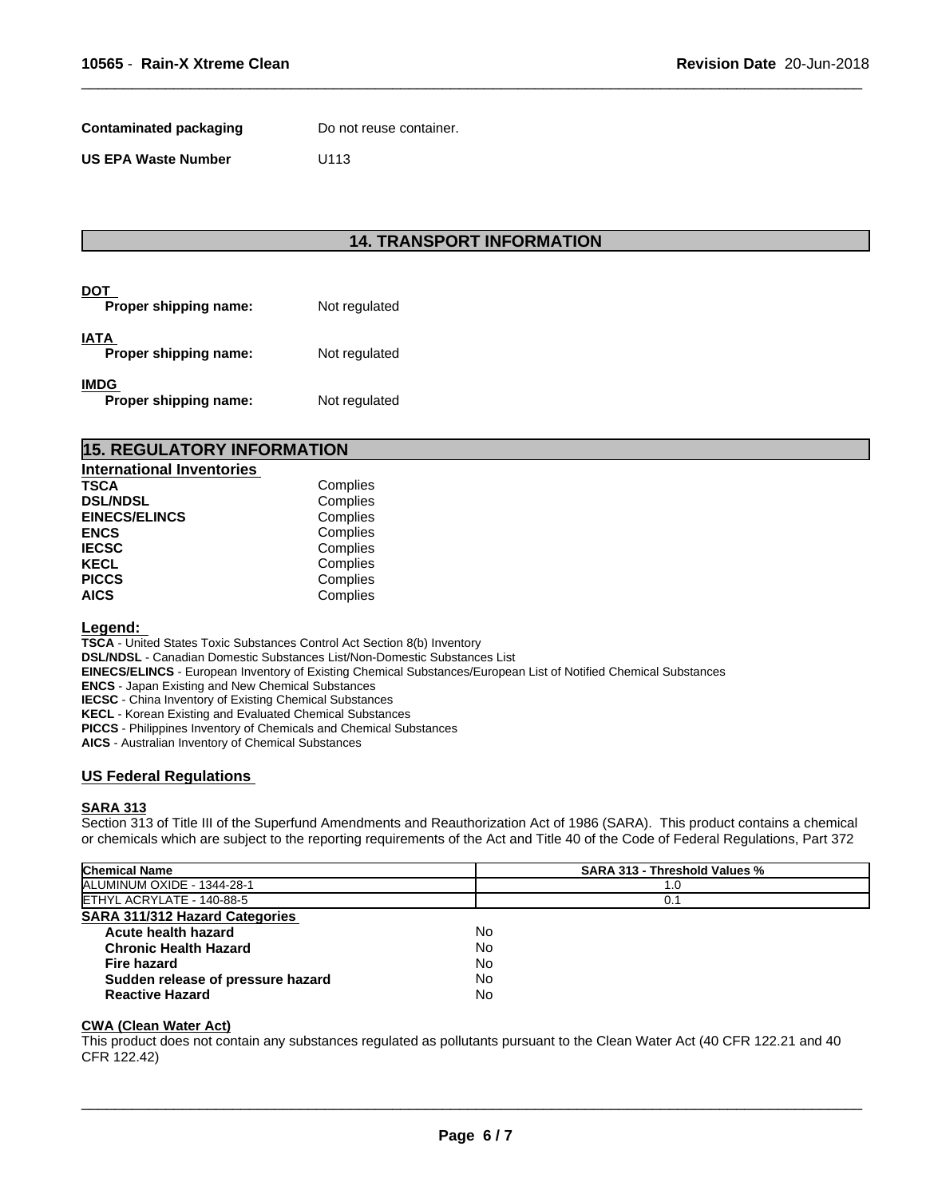**Contaminated packaging** Do not reuse container.

**US EPA Waste Number** U113

# **14. TRANSPORT INFORMATION**

 $\overline{\phantom{a}}$  ,  $\overline{\phantom{a}}$  ,  $\overline{\phantom{a}}$  ,  $\overline{\phantom{a}}$  ,  $\overline{\phantom{a}}$  ,  $\overline{\phantom{a}}$  ,  $\overline{\phantom{a}}$  ,  $\overline{\phantom{a}}$  ,  $\overline{\phantom{a}}$  ,  $\overline{\phantom{a}}$  ,  $\overline{\phantom{a}}$  ,  $\overline{\phantom{a}}$  ,  $\overline{\phantom{a}}$  ,  $\overline{\phantom{a}}$  ,  $\overline{\phantom{a}}$  ,  $\overline{\phantom{a}}$ 

| DOT<br>Proper shipping name:         | Not regulated |
|--------------------------------------|---------------|
| IATA<br>Proper shipping name:        | Not regulated |
| <b>IMDG</b><br>Proper shipping name: | Not regulated |

| <b>15. REGULATORY INFORMATION</b> |          |  |  |
|-----------------------------------|----------|--|--|
| <b>International Inventories</b>  |          |  |  |
| <b>TSCA</b>                       | Complies |  |  |
| <b>DSL/NDSL</b>                   | Complies |  |  |
| <b>EINECS/ELINCS</b>              | Complies |  |  |
| <b>FNCS</b>                       | Complies |  |  |

| ENCS         | Complies |  |
|--------------|----------|--|
| IECSC        | Complies |  |
| KECL         | Complies |  |
| <b>PICCS</b> | Complies |  |
| AICS         | Complies |  |
|              |          |  |

#### **Legend:**

**TSCA** - United States Toxic Substances Control Act Section 8(b) Inventory

**DSL/NDSL** - Canadian Domestic Substances List/Non-Domestic Substances List

**EINECS/ELINCS** - European Inventory of Existing Chemical Substances/European List of Notified Chemical Substances

**ENCS** - Japan Existing and New Chemical Substances

**IECSC** - China Inventory of Existing Chemical Substances

**KECL** - Korean Existing and Evaluated Chemical Substances

**PICCS** - Philippines Inventory of Chemicals and Chemical Substances

**AICS** - Australian Inventory of Chemical Substances

#### **US Federal Regulations**

#### **SARA 313**

Section 313 of Title III of the Superfund Amendments and Reauthorization Act of 1986 (SARA). This product contains a chemical or chemicals which are subject to the reporting requirements of the Act and Title 40 of the Code of Federal Regulations, Part 372

| <b>Chemical Name</b>                  | <b>SARA 313 - Threshold Values %</b> |  |
|---------------------------------------|--------------------------------------|--|
| ALUMINUM OXIDE - 1344-28-1            | 1.0                                  |  |
| ETHYL ACRYLATE - 140-88-5             | 0.1                                  |  |
| <b>SARA 311/312 Hazard Categories</b> |                                      |  |
| Acute health hazard                   | No                                   |  |
| <b>Chronic Health Hazard</b>          | No                                   |  |
| <b>Fire hazard</b>                    | No                                   |  |
| Sudden release of pressure hazard     | No                                   |  |
| <b>Reactive Hazard</b>                | No                                   |  |
|                                       |                                      |  |

#### **CWA (Clean WaterAct)**

This product does not contain any substances regulated as pollutants pursuant to the Clean Water Act (40 CFR 122.21 and 40 CFR 122.42)